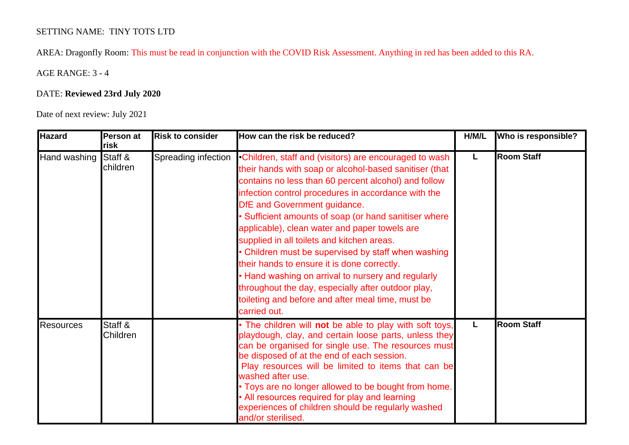## SETTING NAME: TINY TOTS LTD

AREA: Dragonfly Room: This must be read in conjunction with the COVID Risk Assessment. Anything in red has been added to this RA.

AGE RANGE: 3 - 4

## DATE: **Reviewed 23rd July 2020**

Date of next review: July 2021

| <b>Hazard</b>    | Person at<br>risk          | <b>Risk to consider</b> | How can the risk be reduced?                                                                                                                                                                                                                                                                                                                                                                                                                                                                                                                                                                                                                                                                                                             | H/M/L | Who is responsible? |
|------------------|----------------------------|-------------------------|------------------------------------------------------------------------------------------------------------------------------------------------------------------------------------------------------------------------------------------------------------------------------------------------------------------------------------------------------------------------------------------------------------------------------------------------------------------------------------------------------------------------------------------------------------------------------------------------------------------------------------------------------------------------------------------------------------------------------------------|-------|---------------------|
| Hand washing     | Staff &<br>children        |                         | Spreading infection • Children, staff and (visitors) are encouraged to wash<br>their hands with soap or alcohol-based sanitiser (that<br>contains no less than 60 percent alcohol) and follow<br>infection control procedures in accordance with the<br><b>DfE</b> and Government guidance.<br>Sufficient amounts of soap (or hand sanitiser where<br>applicable), clean water and paper towels are<br>supplied in all toilets and kitchen areas.<br>• Children must be supervised by staff when washing<br>their hands to ensure it is done correctly.<br>• Hand washing on arrival to nursery and regularly<br>throughout the day, especially after outdoor play,<br>toileting and before and after meal time, must be<br>carried out. | L     | <b>Room Staff</b>   |
| <b>Resources</b> | Staff &<br><b>Children</b> |                         | • The children will not be able to play with soft toys,<br>playdough, clay, and certain loose parts, unless they<br>can be organised for single use. The resources must<br>be disposed of at the end of each session.<br>Play resources will be limited to items that can be<br>washed after use.<br>. Toys are no longer allowed to be bought from home.<br>• All resources required for play and learning<br>experiences of children should be regularly washed<br>and/or sterilised.                                                                                                                                                                                                                                                  | L     | <b>Room Staff</b>   |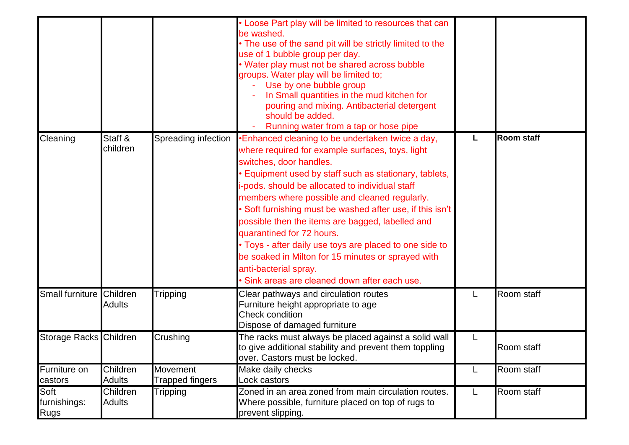|                                     |                           |                                           | Loose Part play will be limited to resources that can<br>be washed.<br>• The use of the sand pit will be strictly limited to the<br>use of 1 bubble group per day.<br>• Water play must not be shared across bubble<br>groups. Water play will be limited to;<br>Use by one bubble group<br>In Small quantities in the mud kitchen for<br>pouring and mixing. Antibacterial detergent<br>should be added.<br>Running water from a tap or hose pipe                                                                                                                                                                             |   |                   |
|-------------------------------------|---------------------------|-------------------------------------------|--------------------------------------------------------------------------------------------------------------------------------------------------------------------------------------------------------------------------------------------------------------------------------------------------------------------------------------------------------------------------------------------------------------------------------------------------------------------------------------------------------------------------------------------------------------------------------------------------------------------------------|---|-------------------|
| Cleaning                            | Staff &<br>children       | Spreading infection                       | Enhanced cleaning to be undertaken twice a day,<br>where required for example surfaces, toys, light<br>switches, door handles.<br>Equipment used by staff such as stationary, tablets,<br>-pods. should be allocated to individual staff<br>members where possible and cleaned regularly.<br>Soft furnishing must be washed after use, if this isn't<br>possible then the items are bagged, labelled and<br>quarantined for 72 hours.<br>• Toys - after daily use toys are placed to one side to<br>be soaked in Milton for 15 minutes or sprayed with<br>anti-bacterial spray.<br>Sink areas are cleaned down after each use. | L | <b>Room staff</b> |
| Small furniture                     | Children<br><b>Adults</b> | <b>Tripping</b>                           | Clear pathways and circulation routes<br>Furniture height appropriate to age<br>Check condition<br>Dispose of damaged furniture                                                                                                                                                                                                                                                                                                                                                                                                                                                                                                | L | Room staff        |
| Storage Racks Children              |                           | Crushing                                  | The racks must always be placed against a solid wall<br>to give additional stability and prevent them toppling<br>over. Castors must be locked.                                                                                                                                                                                                                                                                                                                                                                                                                                                                                | L | Room staff        |
| Furniture on<br>castors             | Children<br>Adults        | <b>Movement</b><br><b>Trapped fingers</b> | Make daily checks<br>Lock castors                                                                                                                                                                                                                                                                                                                                                                                                                                                                                                                                                                                              | L | Room staff        |
| Soft<br>furnishings:<br><b>Rugs</b> | Children<br><b>Adults</b> | <b>Tripping</b>                           | Zoned in an area zoned from main circulation routes.<br>Where possible, furniture placed on top of rugs to<br>prevent slipping.                                                                                                                                                                                                                                                                                                                                                                                                                                                                                                | L | Room staff        |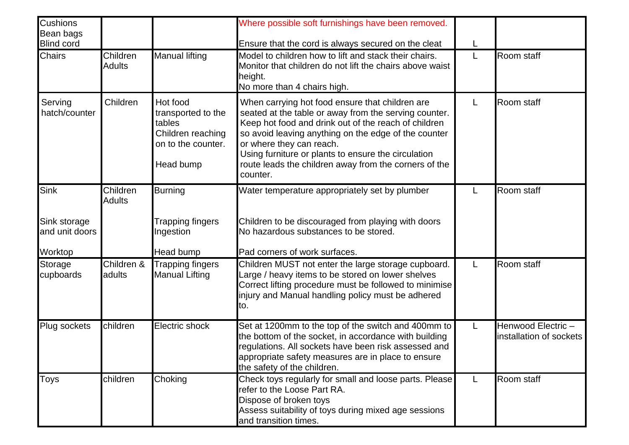| Cushions<br>Bean bags<br><b>Blind cord</b> |                           |                                                                                                  | Where possible soft furnishings have been removed.                                                                                                                                                                                                                                                                                                                               |   |                                              |
|--------------------------------------------|---------------------------|--------------------------------------------------------------------------------------------------|----------------------------------------------------------------------------------------------------------------------------------------------------------------------------------------------------------------------------------------------------------------------------------------------------------------------------------------------------------------------------------|---|----------------------------------------------|
| <b>Chairs</b>                              | Children<br><b>Adults</b> | <b>Manual lifting</b>                                                                            | Ensure that the cord is always secured on the cleat<br>Model to children how to lift and stack their chairs.<br>Monitor that children do not lift the chairs above waist<br>height.<br>No more than 4 chairs high.                                                                                                                                                               | L | Room staff                                   |
| Serving<br>hatch/counter                   | Children                  | Hot food<br>transported to the<br>tables<br>Children reaching<br>on to the counter.<br>Head bump | When carrying hot food ensure that children are<br>seated at the table or away from the serving counter.<br>Keep hot food and drink out of the reach of children<br>so avoid leaving anything on the edge of the counter<br>or where they can reach.<br>Using furniture or plants to ensure the circulation<br>route leads the children away from the corners of the<br>counter. |   | Room staff                                   |
| Sink                                       | Children<br><b>Adults</b> | <b>Burning</b>                                                                                   | Water temperature appropriately set by plumber                                                                                                                                                                                                                                                                                                                                   |   | Room staff                                   |
| Sink storage<br>and unit doors             |                           | Trapping fingers<br>Ingestion                                                                    | Children to be discouraged from playing with doors<br>No hazardous substances to be stored.                                                                                                                                                                                                                                                                                      |   |                                              |
| Worktop                                    |                           | Head bump                                                                                        | Pad corners of work surfaces.                                                                                                                                                                                                                                                                                                                                                    |   |                                              |
| Storage<br>cupboards                       | Children &<br>adults      | <b>Trapping fingers</b><br><b>Manual Lifting</b>                                                 | Children MUST not enter the large storage cupboard.<br>Large / heavy items to be stored on lower shelves<br>Correct lifting procedure must be followed to minimise<br>injury and Manual handling policy must be adhered<br>to.                                                                                                                                                   | L | Room staff                                   |
| Plug sockets                               | children                  | Electric shock                                                                                   | Set at 1200mm to the top of the switch and 400mm to<br>the bottom of the socket, in accordance with building<br>regulations. All sockets have been risk assessed and<br>appropriate safety measures are in place to ensure<br>the safety of the children.                                                                                                                        | L | Henwood Electric-<br>installation of sockets |
| <b>Toys</b>                                | children                  | Choking                                                                                          | Check toys regularly for small and loose parts. Please<br>refer to the Loose Part RA.<br>Dispose of broken toys<br>Assess suitability of toys during mixed age sessions<br>and transition times.                                                                                                                                                                                 | L | Room staff                                   |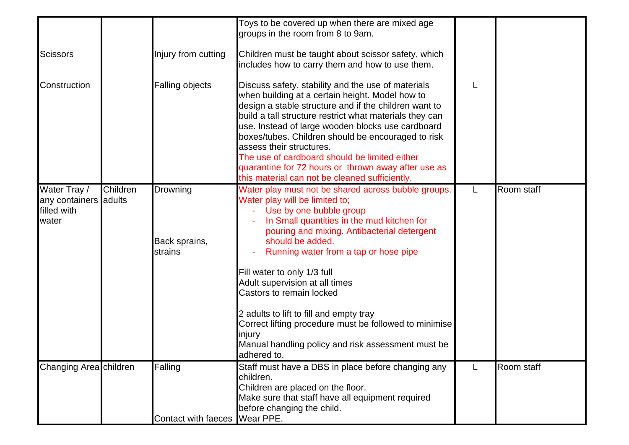|                                                               |          |                                             | Toys to be covered up when there are mixed age<br>groups in the room from 8 to 9am.                                                                                                                                                                                                                                                                                                                                                                                                                                                                           |   |            |
|---------------------------------------------------------------|----------|---------------------------------------------|---------------------------------------------------------------------------------------------------------------------------------------------------------------------------------------------------------------------------------------------------------------------------------------------------------------------------------------------------------------------------------------------------------------------------------------------------------------------------------------------------------------------------------------------------------------|---|------------|
| <b>Scissors</b>                                               |          | Injury from cutting                         | Children must be taught about scissor safety, which<br>includes how to carry them and how to use them.                                                                                                                                                                                                                                                                                                                                                                                                                                                        |   |            |
| Construction                                                  |          | Falling objects                             | Discuss safety, stability and the use of materials<br>when building at a certain height. Model how to<br>design a stable structure and if the children want to<br>build a tall structure restrict what materials they can<br>use. Instead of large wooden blocks use cardboard<br>boxes/tubes. Children should be encouraged to risk<br>assess their structures.<br>The use of cardboard should be limited either<br>quarantine for 72 hours or thrown away after use as<br>this material can not be cleaned sufficiently.                                    |   |            |
| Water Tray /<br>any containers adults<br>filled with<br>water | Children | <b>Drowning</b><br>Back sprains,<br>strains | Water play must not be shared across bubble groups.<br>Water play will be limited to:<br>- Use by one bubble group<br>In Small quantities in the mud kitchen for<br>pouring and mixing. Antibacterial detergent<br>should be added.<br>Running water from a tap or hose pipe<br>Fill water to only 1/3 full<br>Adult supervision at all times<br>Castors to remain locked<br>2 adults to lift to fill and empty tray<br>Correct lifting procedure must be followed to minimise<br>injury<br>Manual handling policy and risk assessment must be<br>adhered to. | L | Room staff |
| Changing Area children                                        |          | Falling                                     | Staff must have a DBS in place before changing any<br>children.<br>Children are placed on the floor.<br>Make sure that staff have all equipment required<br>before changing the child.                                                                                                                                                                                                                                                                                                                                                                        | L | Room staff |
|                                                               |          | Contact with faeces Wear PPE.               |                                                                                                                                                                                                                                                                                                                                                                                                                                                                                                                                                               |   |            |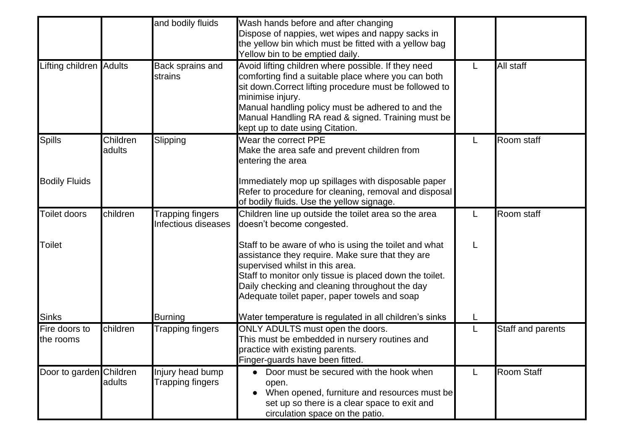|                            |                    | and bodily fluids                           | Wash hands before and after changing<br>Dispose of nappies, wet wipes and nappy sacks in<br>the yellow bin which must be fitted with a yellow bag<br>Yellow bin to be emptied daily.                                                                                                                                                    |   |                   |
|----------------------------|--------------------|---------------------------------------------|-----------------------------------------------------------------------------------------------------------------------------------------------------------------------------------------------------------------------------------------------------------------------------------------------------------------------------------------|---|-------------------|
| Lifting children Adults    |                    | Back sprains and<br>strains                 | Avoid lifting children where possible. If they need<br>comforting find a suitable place where you can both<br>sit down. Correct lifting procedure must be followed to<br>minimise injury.<br>Manual handling policy must be adhered to and the<br>Manual Handling RA read & signed. Training must be<br>kept up to date using Citation. | L | All staff         |
| <b>Spills</b>              | Children<br>adults | Slipping                                    | Wear the correct PPE<br>Make the area safe and prevent children from<br>entering the area                                                                                                                                                                                                                                               | L | Room staff        |
| <b>Bodily Fluids</b>       |                    |                                             | Immediately mop up spillages with disposable paper<br>Refer to procedure for cleaning, removal and disposal<br>of bodily fluids. Use the yellow signage.                                                                                                                                                                                |   |                   |
| Toilet doors               | children           | Trapping fingers<br>Infectious diseases     | Children line up outside the toilet area so the area<br>doesn't become congested.                                                                                                                                                                                                                                                       | L | Room staff        |
| Toilet                     |                    |                                             | Staff to be aware of who is using the toilet and what<br>assistance they require. Make sure that they are<br>supervised whilst in this area.<br>Staff to monitor only tissue is placed down the toilet.<br>Daily checking and cleaning throughout the day<br>Adequate toilet paper, paper towels and soap                               | L |                   |
| <b>Sinks</b>               |                    | Burning                                     | Water temperature is regulated in all children's sinks                                                                                                                                                                                                                                                                                  |   |                   |
| Fire doors to<br>the rooms | children           | <b>Trapping fingers</b>                     | ONLY ADULTS must open the doors.<br>This must be embedded in nursery routines and<br>practice with existing parents.<br>Finger-guards have been fitted.                                                                                                                                                                                 | L | Staff and parents |
| Door to garden Children    | adults             | Injury head bump<br><b>Trapping fingers</b> | Door must be secured with the hook when<br>$\bullet$<br>open.<br>When opened, furniture and resources must be<br>set up so there is a clear space to exit and<br>circulation space on the patio.                                                                                                                                        | L | <b>Room Staff</b> |